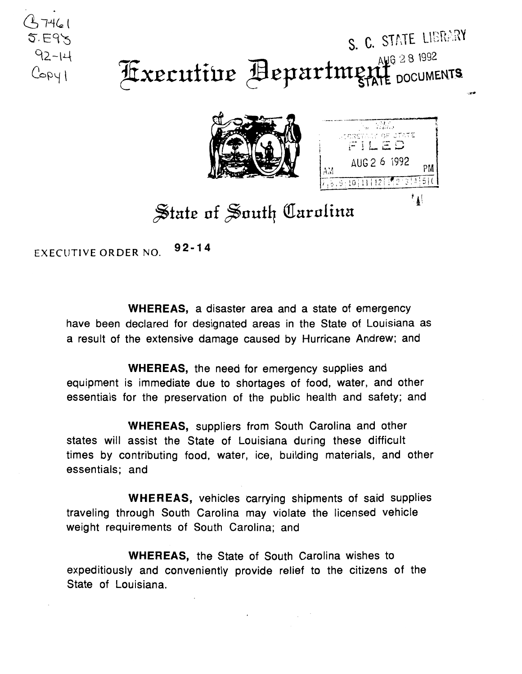## S. C. STATE LIBRARY Fixecutive Aepartment DOCUMENTS





## $\frac{1}{2}$ tate of South Carolina

EXECUTIVE ORDER NO. **92-14** 

.  $4-7461$  $5.595$ 

 $92 - 14$ 

 $C$  $C$  $Q$ 

**WHEREAS, a** disaster area and a state of emergency have been declared for designated areas in the State of Louisiana as a result of the extensive damage caused by Hurricane Andrew; and

**WHEREAS,** the need for emergency supplies and equipment is immediate due to shortages of food, water, and other essentials for the preservation of the public health and safety; and

**WHEREAS,** suppliers from South Carolina and other states will assist the State of Louisiana during these difficult times by contributing food, water, ice, building materials, and other essentials; and

**WHEREAS,** vehicles carrying shipments of said supplies traveling through South Carolina may violate the licensed vehicle weight requirements of South Carolina; and

**WHEREAS,** the State of South Carolina wishes to expeditiously and conveniently provide relief to the citizens of the State of Louisiana.